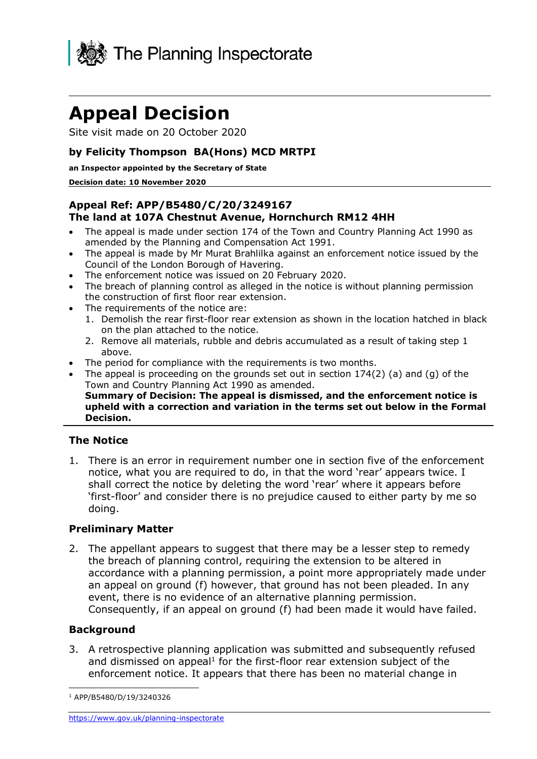

# **Appeal Decision**

Site visit made on 20 October 2020

# **by Felicity Thompson BA(Hons) MCD MRTPI**

#### **an Inspector appointed by the Secretary of State**

#### **Decision date: 10 November 2020**

## **Appeal Ref: APP/B5480/C/20/3249167 The land at 107A Chestnut Avenue, Hornchurch RM12 4HH**

- • The appeal is made under section 174 of the Town and Country Planning Act 1990 as amended by the Planning and Compensation Act 1991.
- • The appeal is made by Mr Murat Brahlilka against an enforcement notice issued by the Council of the London Borough of Havering.
- The enforcement notice was issued on 20 February 2020.
- • The breach of planning control as alleged in the notice is without planning permission the construction of first floor rear extension.
- The requirements of the notice are:
	- 1. Demolish the rear first-floor rear extension as shown in the location hatched in black on the plan attached to the notice.
	- 2. Remove all materials, rubble and debris accumulated as a result of taking step 1 above.
- The period for compliance with the requirements is two months.
- • The appeal is proceeding on the grounds set out in section 174(2) (a) and (g) of the Town and Country Planning Act 1990 as amended.  **Summary of Decision: The appeal is dismissed, and the enforcement notice is upheld with a correction and variation in the terms set out below in the Formal Decision.**

### **The Notice**

 1. There is an error in requirement number one in section five of the enforcement notice, what you are required to do, in that the word 'rear' appears twice. I shall correct the notice by deleting the word 'rear' where it appears before 'first-floor' and consider there is no prejudice caused to either party by me so doing.

### **Preliminary Matter**

 2. The appellant appears to suggest that there may be a lesser step to remedy the breach of planning control, requiring the extension to be altered in accordance with a planning permission, a point more appropriately made under an appeal on ground (f) however, that ground has not been pleaded. In any event, there is no evidence of an alternative planning permission. Consequently, if an appeal on ground (f) had been made it would have failed.

### **Background**

 3. A retrospective planning application was submitted and subsequently refused and dismissed on appeal<sup>1</sup> for the first-floor rear extension subject of the enforcement notice. It appears that there has been no material change in

<sup>1</sup> APP/B5480/D/19/3240326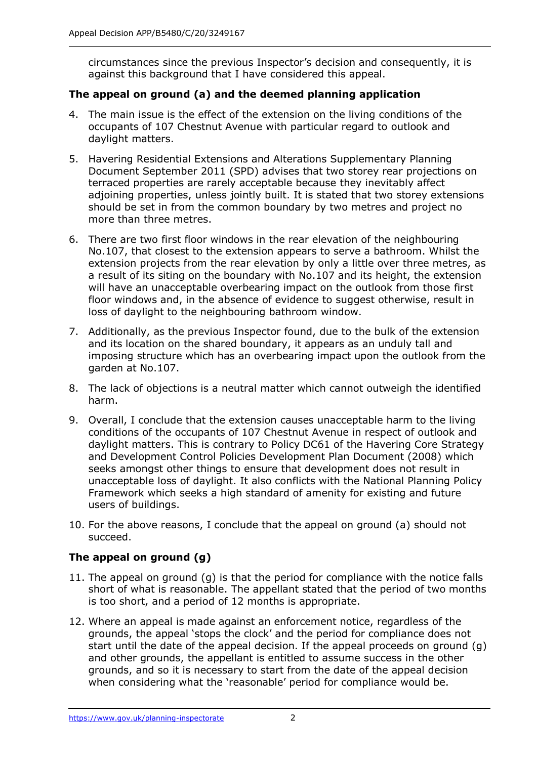circumstances since the previous Inspector's decision and consequently, it is against this background that I have considered this appeal.

# **The appeal on ground (a) and the deemed planning application**

- 4. The main issue is the effect of the extension on the living conditions of the occupants of 107 Chestnut Avenue with particular regard to outlook and daylight matters.
- 5. Havering Residential Extensions and Alterations Supplementary Planning Document September 2011 (SPD) advises that two storey rear projections on terraced properties are rarely acceptable because they inevitably affect should be set in from the common boundary by two metres and project no adjoining properties, unless jointly built. It is stated that two storey extensions more than three metres.
- 6. There are two first floor windows in the rear elevation of the neighbouring No.107, that closest to the extension appears to serve a bathroom. Whilst the extension projects from the rear elevation by only a little over three metres, as a result of its siting on the boundary with No.107 and its height, the extension will have an unacceptable overbearing impact on the outlook from those first floor windows and, in the absence of evidence to suggest otherwise, result in loss of daylight to the neighbouring bathroom window.
- 7. Additionally, as the previous Inspector found, due to the bulk of the extension and its location on the shared boundary, it appears as an unduly tall and imposing structure which has an overbearing impact upon the outlook from the garden at No.107.
- 8. The lack of objections is a neutral matter which cannot outweigh the identified harm.
- 9. Overall, I conclude that the extension causes unacceptable harm to the living conditions of the occupants of 107 Chestnut Avenue in respect of outlook and daylight matters. This is contrary to Policy DC61 of the Havering Core Strategy and Development Control Policies Development Plan Document (2008) which seeks amongst other things to ensure that development does not result in unacceptable loss of daylight. It also conflicts with the National Planning Policy Framework which seeks a high standard of amenity for existing and future users of buildings.
- 10. For the above reasons, I conclude that the appeal on ground (a) should not succeed.

# **The appeal on ground (g)**

- 11. The appeal on ground (g) is that the period for compliance with the notice falls short of what is reasonable. The appellant stated that the period of two months is too short, and a period of 12 months is appropriate.
- 12. Where an appeal is made against an enforcement notice, regardless of the grounds, the appeal 'stops the clock' and the period for compliance does not start until the date of the appeal decision. If the appeal proceeds on ground (g) and other grounds, the appellant is entitled to assume success in the other grounds, and so it is necessary to start from the date of the appeal decision when considering what the 'reasonable' period for compliance would be.